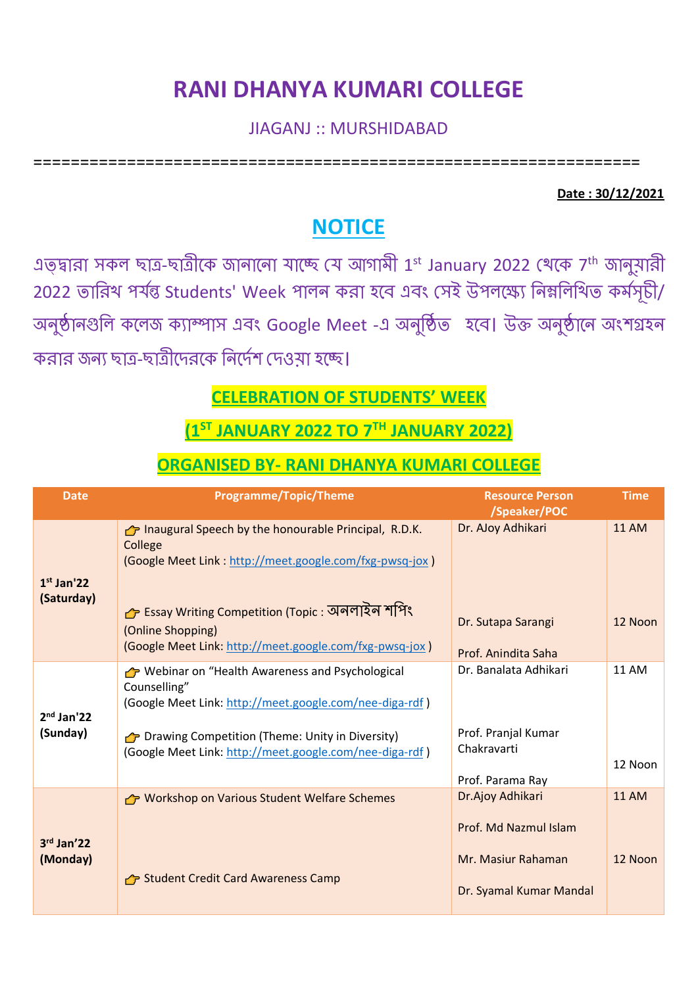# **RANI DHANYA KUMARI COLLEGE**

#### JIAGANJ :: MURSHIDABAD

=================================================================

#### **Date : 30/12/2021**

### **NOTICE**

এত্ছারা সকল ছাত্র-ছাত্রীকে জানানো যাচ্ছে যে আগামী 1<sup>st</sup> January 2022 থেকে 7<sup>th</sup> জানুয়ারী 2022 তারিখ পর্যন্ত Students' Week পালন করা হবে এবং সেই উপলক্ষ্যে নিম্নলিথিত কর্মসূচী/ অনুষ্ঠানগুলি কলেজ ক্যাম্পাস এবং Google Meet -এ অনুষ্ঠিত হবে। উক্ত অনুষ্ঠানে অংশগ্রহন করার জনে ছাত্র-ছাত্রীকেরকক রনকেযশ যেওয়া হকে।

#### **CELEBRATION OF STUDENTS' WEEK**

## **(1ST JANUARY 2022 TO 7TH JANUARY 2022)**

#### **ORGANISED BY- RANI DHANYA KUMARI COLLEGE**

| <b>Date</b>                | <b>Programme/Topic/Theme</b>                                                                                                                                                                        | <b>Resource Person</b><br>/Speaker/POC                 | <b>Time</b>             |
|----------------------------|-----------------------------------------------------------------------------------------------------------------------------------------------------------------------------------------------------|--------------------------------------------------------|-------------------------|
| $1st$ Jan'22<br>(Saturday) | Thaugural Speech by the honourable Principal, R.D.K.<br>College<br>(Google Meet Link: http://meet.google.com/fxg-pwsq-jox)<br>− Essay Writing Competition (Topic : অনলাইন শগিং<br>(Online Shopping) | Dr. AJoy Adhikari<br>Dr. Sutapa Sarangi                | <b>11 AM</b><br>12 Noon |
|                            | (Google Meet Link: http://meet.google.com/fxg-pwsq-jox)                                                                                                                                             | Prof. Anindita Saha                                    |                         |
| $2nd$ Jan'22<br>(Sunday)   | → Webinar on "Health Awareness and Psychological<br>Counselling"<br>(Google Meet Link: http://meet.google.com/nee-diga-rdf)                                                                         | Dr. Banalata Adhikari                                  | <b>11 AM</b>            |
|                            | → Drawing Competition (Theme: Unity in Diversity)<br>(Google Meet Link: http://meet.google.com/nee-diga-rdf)                                                                                        | Prof. Pranjal Kumar<br>Chakravarti<br>Prof. Parama Ray | 12 Noon                 |
| 3rd Jan'22<br>(Monday)     | <b>P</b> Workshop on Various Student Welfare Schemes                                                                                                                                                | Dr.Ajoy Adhikari                                       | <b>11 AM</b>            |
|                            |                                                                                                                                                                                                     | Prof. Md Nazmul Islam                                  |                         |
|                            | Student Credit Card Awareness Camp                                                                                                                                                                  | Mr. Masiur Rahaman                                     | 12 Noon                 |
|                            |                                                                                                                                                                                                     | Dr. Syamal Kumar Mandal                                |                         |